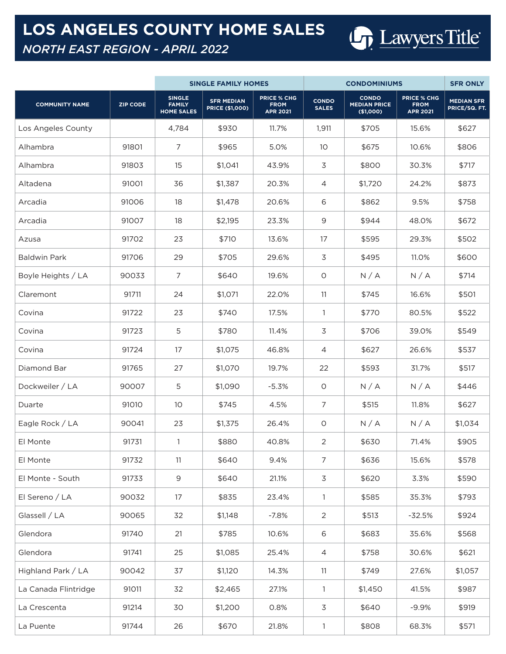## **LOS ANGELES COUNTY HOME SALES**

## *NORTH EAST REGION - APRIL 2022*

|                       |                 |                                                     | <b>SINGLE FAMILY HOMES</b>                  |                                                      | <b>CONDOMINIUMS</b>          |                                                  |                                                      | <b>SFR ONLY</b>                    |
|-----------------------|-----------------|-----------------------------------------------------|---------------------------------------------|------------------------------------------------------|------------------------------|--------------------------------------------------|------------------------------------------------------|------------------------------------|
| <b>COMMUNITY NAME</b> | <b>ZIP CODE</b> | <b>SINGLE</b><br><b>FAMILY</b><br><b>HOME SALES</b> | <b>SFR MEDIAN</b><br><b>PRICE (\$1,000)</b> | <b>PRICE % CHG</b><br><b>FROM</b><br><b>APR 2021</b> | <b>CONDO</b><br><b>SALES</b> | <b>CONDO</b><br><b>MEDIAN PRICE</b><br>(\$1,000) | <b>PRICE % CHG</b><br><b>FROM</b><br><b>APR 2021</b> | <b>MEDIAN SFR</b><br>PRICE/SQ. FT. |
| Los Angeles County    |                 | 4,784                                               | \$930                                       | 11.7%                                                | 1,911                        | \$705                                            | 15.6%                                                | \$627                              |
| Alhambra              | 91801           | 7                                                   | \$965                                       | 5.0%                                                 | 10                           | \$675                                            | 10.6%                                                | \$806                              |
| Alhambra              | 91803           | 15                                                  | \$1,041                                     | 43.9%                                                | $\mathfrak{Z}$               | \$800                                            | 30.3%                                                | \$717                              |
| Altadena              | 91001           | 36                                                  | \$1,387                                     | 20.3%                                                | 4                            | \$1,720                                          | 24.2%                                                | \$873                              |
| Arcadia               | 91006           | 18                                                  | \$1,478                                     | 20.6%                                                | 6                            | \$862                                            | 9.5%                                                 | \$758                              |
| Arcadia               | 91007           | 18                                                  | \$2,195                                     | 23.3%                                                | 9                            | \$944                                            | 48.0%                                                | \$672                              |
| Azusa                 | 91702           | 23                                                  | \$710                                       | 13.6%                                                | 17                           | \$595                                            | 29.3%                                                | \$502                              |
| <b>Baldwin Park</b>   | 91706           | 29                                                  | \$705                                       | 29.6%                                                | 3                            | \$495                                            | 11.0%                                                | \$600                              |
| Boyle Heights / LA    | 90033           | $\overline{7}$                                      | \$640                                       | 19.6%                                                | O                            | N/A                                              | N/A                                                  | \$714                              |
| Claremont             | 91711           | 24                                                  | \$1,071                                     | 22.0%                                                | 11                           | \$745                                            | 16.6%                                                | \$501                              |
| Covina                | 91722           | 23                                                  | \$740                                       | 17.5%                                                | 1                            | \$770                                            | 80.5%                                                | \$522                              |
| Covina                | 91723           | 5                                                   | \$780                                       | 11.4%                                                | $\mathfrak{Z}$               | \$706                                            | 39.0%                                                | \$549                              |
| Covina                | 91724           | 17                                                  | \$1,075                                     | 46.8%                                                | 4                            | \$627                                            | 26.6%                                                | \$537                              |
| Diamond Bar           | 91765           | 27                                                  | \$1,070                                     | 19.7%                                                | 22                           | \$593                                            | 31.7%                                                | \$517                              |
| Dockweiler / LA       | 90007           | 5                                                   | \$1,090                                     | $-5.3%$                                              | $\circ$                      | N/A                                              | N/A                                                  | \$446                              |
| Duarte                | 91010           | 10                                                  | \$745                                       | 4.5%                                                 | $\overline{7}$               | \$515                                            | 11.8%                                                | \$627                              |
| Eagle Rock / LA       | 90041           | 23                                                  | \$1,375                                     | 26.4%                                                | O                            | N/A                                              | N/A                                                  | \$1,034                            |
| El Monte              | 91731           | 1                                                   | \$880                                       | 40.8%                                                | 2                            | \$630                                            | 71.4%                                                | \$905                              |
| El Monte              | 91732           | 11                                                  | \$640                                       | 9.4%                                                 | $\overline{7}$               | \$636                                            | 15.6%                                                | \$578                              |
| El Monte - South      | 91733           | 9                                                   | \$640                                       | 21.1%                                                | 3                            | \$620                                            | 3.3%                                                 | \$590                              |
| El Sereno / LA        | 90032           | 17                                                  | \$835                                       | 23.4%                                                | $\mathbf{1}$                 | \$585                                            | 35.3%                                                | \$793                              |
| Glassell / LA         | 90065           | 32                                                  | \$1,148                                     | $-7.8%$                                              | $\overline{2}$               | \$513                                            | $-32.5%$                                             | \$924                              |
| Glendora              | 91740           | 21                                                  | \$785                                       | 10.6%                                                | 6                            | \$683                                            | 35.6%                                                | \$568                              |
| Glendora              | 91741           | 25                                                  | \$1,085                                     | 25.4%                                                | 4                            | \$758                                            | 30.6%                                                | \$621                              |
| Highland Park / LA    | 90042           | 37                                                  | \$1,120                                     | 14.3%                                                | 11                           | \$749                                            | 27.6%                                                | \$1,057                            |
| La Canada Flintridge  | 91011           | 32                                                  | \$2,465                                     | 27.1%                                                | $\mathbf{1}$                 | \$1,450                                          | 41.5%                                                | \$987                              |
| La Crescenta          | 91214           | 30                                                  | \$1,200                                     | 0.8%                                                 | 3                            | \$640                                            | $-9.9%$                                              | \$919                              |
| La Puente             | 91744           | 26                                                  | \$670                                       | 21.8%                                                | $\mathbf{1}$                 | \$808                                            | 68.3%                                                | \$571                              |

Lawyers Title